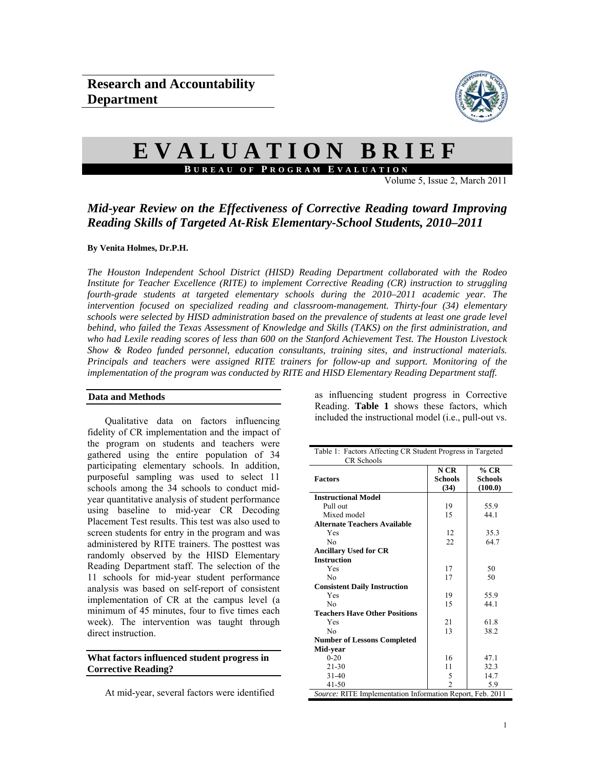

# **EVALUATION BRIEF**

**B UREAU OF P ROGRAM E VALUATION**

Volume 5, Issue 2, March 2011

# *Mid-year Review on the Effectiveness of Corrective Reading toward Improving Reading Skills of Targeted At-Risk Elementary-School Students, 2010–2011*

#### **By Venita Holmes, Dr.P.H.**

*The Houston Independent School District (HISD) Reading Department collaborated with the Rodeo Institute for Teacher Excellence (RITE) to implement Corrective Reading (CR) instruction to struggling fourth-grade students at targeted elementary schools during the 2010–2011 academic year. The intervention focused on specialized reading and classroom-management. Thirty-four (34) elementary schools were selected by HISD administration based on the prevalence of students at least one grade level behind, who failed the Texas Assessment of Knowledge and Skills (TAKS) on the first administration, and who had Lexile reading scores of less than 600 on the Stanford Achievement Test. The Houston Livestock Show & Rodeo funded personnel, education consultants, training sites, and instructional materials. Principals and teachers were assigned RITE trainers for follow-up and support. Monitoring of the implementation of the program was conducted by RITE and HISD Elementary Reading Department staff.* 

#### **Data and Methods**

Qualitative data on factors influencing fidelity of CR implementation and the impact of the program on students and teachers were gathered using the entire population of 34 participating elementary schools. In addition, purposeful sampling was used to select 11 schools among the 34 schools to conduct midyear quantitative analysis of student performance using baseline to mid-year CR Decoding Placement Test results. This test was also used to screen students for entry in the program and was administered by RITE trainers. The posttest was randomly observed by the HISD Elementary Reading Department staff. The selection of the 11 schools for mid-year student performance analysis was based on self-report of consistent implementation of CR at the campus level (a minimum of 45 minutes, four to five times each week). The intervention was taught through direct instruction.

**What factors influenced student progress in Corrective Reading?** 

At mid-year, several factors were identified

as influencing student progress in Corrective Reading. **Table 1** shows these factors, which included the instructional model (i.e., pull-out vs.

| Table 1: Factors Affecting CR Student Progress in Targeted |                |                |  |  |  |  |  |
|------------------------------------------------------------|----------------|----------------|--|--|--|--|--|
| CR Schools                                                 |                |                |  |  |  |  |  |
|                                                            | N CR           | $%$ CR         |  |  |  |  |  |
| <b>Factors</b>                                             | <b>Schools</b> | <b>Schools</b> |  |  |  |  |  |
|                                                            | (34)           | (100.0)        |  |  |  |  |  |
| <b>Instructional Model</b>                                 |                |                |  |  |  |  |  |
| Pull out                                                   | 19             | 55.9           |  |  |  |  |  |
| Mixed model                                                | 15             | 44.1           |  |  |  |  |  |
| <b>Alternate Teachers Available</b>                        |                |                |  |  |  |  |  |
| Yes                                                        | 12             | 35.3           |  |  |  |  |  |
| N <sub>0</sub>                                             | 22             | 64.7           |  |  |  |  |  |
| <b>Ancillary Used for CR</b>                               |                |                |  |  |  |  |  |
| <b>Instruction</b>                                         |                |                |  |  |  |  |  |
| Yes                                                        | 17             | 50             |  |  |  |  |  |
| Nο                                                         | 17             | 50             |  |  |  |  |  |
| <b>Consistent Daily Instruction</b>                        |                |                |  |  |  |  |  |
| Yes                                                        | 19             | 55.9           |  |  |  |  |  |
| N <sub>0</sub>                                             | 15             | 44.1           |  |  |  |  |  |
| <b>Teachers Have Other Positions</b>                       |                |                |  |  |  |  |  |
| Yes                                                        | 21             | 61.8           |  |  |  |  |  |
| Nο                                                         | 13             | 38.2           |  |  |  |  |  |
| <b>Number of Lessons Completed</b>                         |                |                |  |  |  |  |  |
| Mid-year                                                   |                |                |  |  |  |  |  |
| $0 - 20$                                                   | 16             | 47.1           |  |  |  |  |  |
| $21 - 30$                                                  | 11             | 32.3           |  |  |  |  |  |
| $31 - 40$                                                  | 5              | 14.7           |  |  |  |  |  |
| $41 - 50$                                                  | $\mathcal{D}$  | 5.9            |  |  |  |  |  |
| Source: RITE Implementation Information Report, Feb. 2011  |                |                |  |  |  |  |  |
|                                                            |                |                |  |  |  |  |  |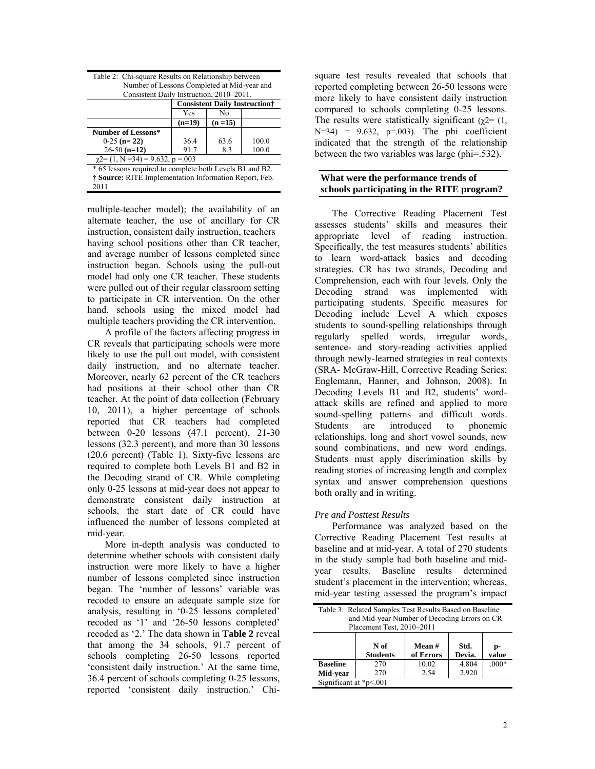| Number of Lessons Completed at Mid-year and              |                                       |          |       |  |  |  |  |  |  |
|----------------------------------------------------------|---------------------------------------|----------|-------|--|--|--|--|--|--|
| Consistent Daily Instruction, 2010–2011.                 |                                       |          |       |  |  |  |  |  |  |
|                                                          | <b>Consistent Daily Instruction</b> † |          |       |  |  |  |  |  |  |
|                                                          | Yes<br>No                             |          |       |  |  |  |  |  |  |
|                                                          | $(n=19)$                              | $(n=15)$ |       |  |  |  |  |  |  |
| Number of Lessons*                                       |                                       |          |       |  |  |  |  |  |  |
| $0-25$ (n= 22)                                           | 36.4                                  | 63.6     | 100.0 |  |  |  |  |  |  |
| $26-50$ (n=12)                                           | 91.7                                  | 8.3      | 100.0 |  |  |  |  |  |  |
| $\gamma$ 2= (1, N = 34) = 9.632, p = 003                 |                                       |          |       |  |  |  |  |  |  |
| * 65 lessons required to complete both Levels B1 and B2. |                                       |          |       |  |  |  |  |  |  |
| † Source: RITE Implementation Information Report, Feb.   |                                       |          |       |  |  |  |  |  |  |
| 2011                                                     |                                       |          |       |  |  |  |  |  |  |

Table 2: Chi-square Results on Relationship between

multiple-teacher model); the availability of an alternate teacher, the use of ancillary for CR instruction, consistent daily instruction, teachers having school positions other than CR teacher, and average number of lessons completed since instruction began. Schools using the pull-out model had only one CR teacher. These students were pulled out of their regular classroom setting to participate in CR intervention. On the other hand, schools using the mixed model had multiple teachers providing the CR intervention.

 A profile of the factors affecting progress in CR reveals that participating schools were more likely to use the pull out model, with consistent daily instruction, and no alternate teacher. Moreover, nearly 62 percent of the CR teachers had positions at their school other than CR teacher. At the point of data collection (February 10, 2011), a higher percentage of schools reported that CR teachers had completed between 0-20 lessons (47.1 percent), 21-30 lessons (32.3 percent), and more than 30 lessons (20.6 percent) (Table 1). Sixty-five lessons are required to complete both Levels B1 and B2 in the Decoding strand of CR. While completing only 0-25 lessons at mid-year does not appear to demonstrate consistent daily instruction at schools, the start date of CR could have influenced the number of lessons completed at mid-year.

 More in-depth analysis was conducted to determine whether schools with consistent daily instruction were more likely to have a higher number of lessons completed since instruction began. The 'number of lessons' variable was recoded to ensure an adequate sample size for analysis, resulting in '0-25 lessons completed' recoded as '1' and '26-50 lessons completed' recoded as '2.' The data shown in **Table 2** reveal that among the 34 schools, 91.7 percent of schools completing 26-50 lessons reported 'consistent daily instruction.' At the same time, 36.4 percent of schools completing 0-25 lessons, reported 'consistent daily instruction.' Chi-

square test results revealed that schools that reported completing between 26-50 lessons were more likely to have consistent daily instruction compared to schools completing 0-25 lessons. The results were statistically significant ( $\gamma$ 2= (1,  $N=34$ ) = 9.632, p=.003). The phi coefficient indicated that the strength of the relationship between the two variables was large (phi=.532).

## **What were the performance trends of schools participating in the RITE program?**

The Corrective Reading Placement Test assesses students' skills and measures their appropriate level of reading instruction. Specifically, the test measures students' abilities to learn word-attack basics and decoding strategies. CR has two strands, Decoding and Comprehension, each with four levels. Only the Decoding strand was implemented with participating students. Specific measures for Decoding include Level A which exposes students to sound-spelling relationships through regularly spelled words, irregular words, sentence- and story-reading activities applied through newly-learned strategies in real contexts (SRA- McGraw-Hill, Corrective Reading Series; Englemann, Hanner, and Johnson, 2008). In Decoding Levels B1 and B2, students' wordattack skills are refined and applied to more sound-spelling patterns and difficult words. Students are introduced to phonemic relationships, long and short vowel sounds, new sound combinations, and new word endings. Students must apply discrimination skills by reading stories of increasing length and complex syntax and answer comprehension questions both orally and in writing.

### *Pre and Posttest Results*

Performance was analyzed based on the Corrective Reading Placement Test results at baseline and at mid-year. A total of 270 students in the study sample had both baseline and midyear results. Baseline results determined student's placement in the intervention; whereas, mid-year testing assessed the program's impact

| Table 3: Related Samples Test Results Based on Baseline<br>and Mid-year Number of Decoding Errors on CR<br>Placement Test, 2010-2011 |     |       |       |         |  |  |  |
|--------------------------------------------------------------------------------------------------------------------------------------|-----|-------|-------|---------|--|--|--|
| N of<br>Mean#<br>Std.<br>p-<br><b>Students</b><br>Devia.<br>of Errors<br>value                                                       |     |       |       |         |  |  |  |
| <b>Baseline</b>                                                                                                                      | 270 | 10.02 | 4.804 | $.000*$ |  |  |  |
| Mid-vear                                                                                                                             | 270 | 2.54  | 2.920 |         |  |  |  |
| Significant at $p<001$                                                                                                               |     |       |       |         |  |  |  |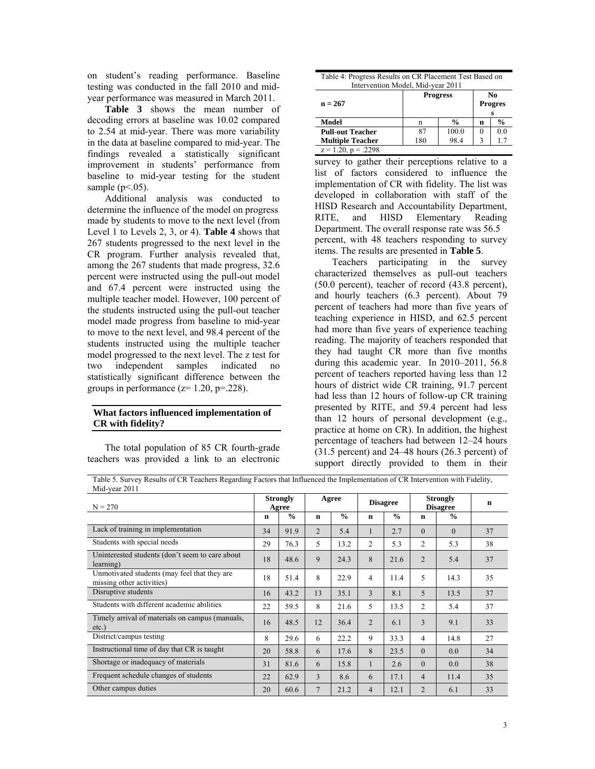on student's reading performance. Baseline testing was conducted in the fall 2010 and midyear performance was measured in March 2011.

**Table 3** shows the mean number of decoding errors at baseline was 10.02 compared to 2.54 at mid-year. There was more variability in the data at baseline compared to mid-year. The findings revealed a statistically significant improvement in students' performance from baseline to mid-year testing for the student sample  $(p<.05)$ .

Additional analysis was conducted to determine the influence of the model on progress made by students to move to the next level (from Level 1 to Levels 2, 3, or 4). **Table 4** shows that 267 students progressed to the next level in the CR program. Further analysis revealed that, among the 267 students that made progress, 32.6 percent were instructed using the pull-out model and 67.4 percent were instructed using the multiple teacher model. However, 100 percent of the students instructed using the pull-out teacher model made progress from baseline to mid-year to move to the next level, and 98.4 percent of the students instructed using the multiple teacher model progressed to the next level. The z test for two independent samples indicated no statistically significant difference between the groups in performance  $(z=1.20, p=.228)$ .

### **What factors influenced implementation of CR with fidelity?**

 The total population of 85 CR fourth-grade teachers was provided a link to an electronic

| Table 4: Progress Results on CR Placement Test Based on |  |
|---------------------------------------------------------|--|
| Intervention Model, Mid-year 2011                       |  |

| $n = 267$                | <b>Progress</b> | No<br><b>Progres</b> |               |     |
|--------------------------|-----------------|----------------------|---------------|-----|
| Model                    | n               | n                    | $\frac{6}{9}$ |     |
| <b>Pull-out Teacher</b>  | 87              | 100.0                |               | 0.0 |
| <b>Multiple Teacher</b>  | 180             | 98.4                 |               |     |
| $z = 1.20$ , $p = .2298$ |                 |                      |               |     |

survey to gather their perceptions relative to a list of factors considered to influence the implementation of CR with fidelity. The list was developed in collaboration with staff of the HISD Research and Accountability Department, RITE, and HISD Elementary Reading Department. The overall response rate was 56.5 percent, with 48 teachers responding to survey items. The results are presented in **Table 5**.

 Teachers participating in the survey characterized themselves as pull-out teachers (50.0 percent), teacher of record (43.8 percent), and hourly teachers (6.3 percent). About 79 percent of teachers had more than five years of teaching experience in HISD, and 62.5 percent had more than five years of experience teaching reading. The majority of teachers responded that they had taught CR more than five months during this academic year. In 2010–2011, 56.8 percent of teachers reported having less than 12 hours of district wide CR training, 91.7 percent had less than 12 hours of follow-up CR training presented by RITE, and 59.4 percent had less than 12 hours of personal development (e.g., practice at home on CR). In addition, the highest percentage of teachers had between 12–24 hours (31.5 percent) and 24–48 hours (26.3 percent) of support directly provided to them in their

Table 5. Survey Results of CR Teachers Regarding Factors that Influenced the Implementation of CR Intervention with Fidelity, Mid-year 2011

| $N = 270$                                                                 |    | <b>Strongly</b><br>Agree | Agree          |               | <b>Disagree</b> |               | <b>Strongly</b><br><b>Disagree</b> |               |    |  | $\mathbf n$ |
|---------------------------------------------------------------------------|----|--------------------------|----------------|---------------|-----------------|---------------|------------------------------------|---------------|----|--|-------------|
|                                                                           | n  | $\frac{0}{0}$            | $\mathbf n$    | $\frac{0}{0}$ | $\mathbf n$     | $\frac{0}{0}$ | n                                  | $\frac{0}{0}$ |    |  |             |
| Lack of training in implementation                                        | 34 | 91.9                     | $\overline{2}$ | 5.4           | 1               | 2.7           | $\theta$                           | $\theta$      | 37 |  |             |
| Students with special needs                                               | 29 | 76.3                     | 5              | 13.2          | 2               | 5.3           | $\overline{2}$                     | 5.3           | 38 |  |             |
| Uninterested students (don't seem to care about<br>learning)              | 18 | 48.6                     | 9              | 24.3          | 8               | 21.6          | $\overline{2}$                     | 5.4           | 37 |  |             |
| Unmotivated students (may feel that they are<br>missing other activities) | 18 | 51.4                     | 8              | 22.9          | 4               | 11.4          | 5                                  | 14.3          | 35 |  |             |
| Disruptive students                                                       | 16 | 43.2                     | 13             | 35.1          | 3               | 8.1           | 5                                  | 13.5          | 37 |  |             |
| Students with different academic abilities                                | 22 | 59.5                     | 8              | 21.6          | 5               | 13.5          | $\overline{2}$                     | 5.4           | 37 |  |             |
| Timely arrival of materials on campus (manuals,<br>$etc.$ )               | 16 | 48.5                     | 12             | 36.4          | $\overline{2}$  | 6.1           | 3                                  | 9.1           | 33 |  |             |
| District/campus testing                                                   | 8  | 29.6                     | 6              | 22.2          | 9               | 33.3          | 4                                  | 14.8          | 27 |  |             |
| Instructional time of day that CR is taught                               | 20 | 58.8                     | 6              | 17.6          | 8               | 23.5          | $\Omega$                           | 0.0           | 34 |  |             |
| Shortage or inadequacy of materials                                       | 31 | 81.6                     | 6              | 15.8          | 1               | 2.6           | $\Omega$                           | 0.0           | 38 |  |             |
| Frequent schedule changes of students                                     | 22 | 62.9                     | 3              | 8.6           | 6               | 17.1          | $\overline{4}$                     | 11.4          | 35 |  |             |
| Other campus duties                                                       | 20 | 60.6                     | $\overline{7}$ | 21.2          | 4               | 12.1          | $\overline{2}$                     | 6.1           | 33 |  |             |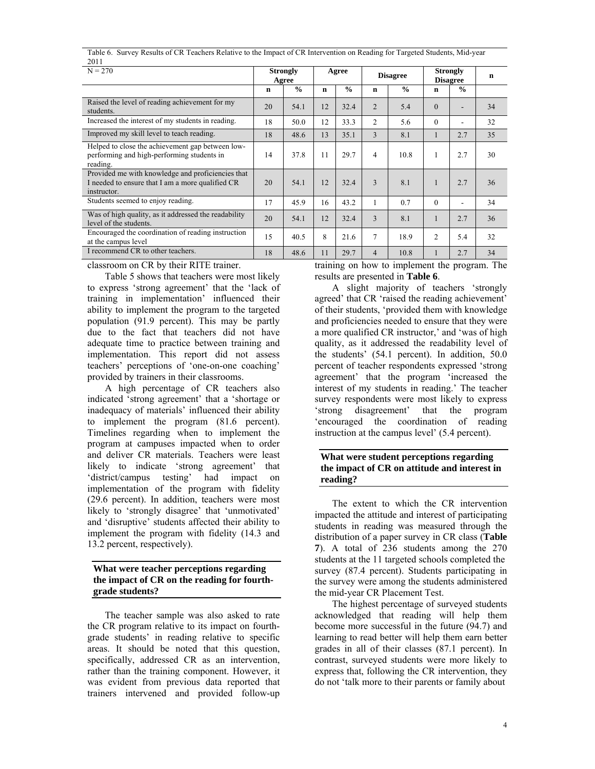| 2011                                                                                                                 |             |                          |       |               |                 |               |                                    |               |    |
|----------------------------------------------------------------------------------------------------------------------|-------------|--------------------------|-------|---------------|-----------------|---------------|------------------------------------|---------------|----|
| $N = 270$                                                                                                            |             | <b>Strongly</b><br>Agree | Agree |               | <b>Disagree</b> |               | <b>Strongly</b><br><b>Disagree</b> |               | n  |
|                                                                                                                      | $\mathbf n$ | $\frac{0}{0}$            | n     | $\frac{0}{0}$ | $\mathbf n$     | $\frac{0}{0}$ | $\mathbf n$                        | $\frac{0}{0}$ |    |
| Raised the level of reading achievement for my<br>students.                                                          | 20          | 54.1                     | 12    | 32.4          | $\overline{2}$  | 5.4           | $\Omega$                           |               | 34 |
| Increased the interest of my students in reading.                                                                    | 18          | 50.0                     | 12    | 33.3          | 2               | 5.6           | $\Omega$                           |               | 32 |
| Improved my skill level to teach reading.                                                                            | 18          | 48.6                     | 13    | 35.1          | 3               | 8.1           | 1                                  | 2.7           | 35 |
| Helped to close the achievement gap between low-<br>performing and high-performing students in<br>reading.           | 14          | 37.8                     | 11    | 29.7          | $\overline{4}$  | 10.8          | 1                                  | 2.7           | 30 |
| Provided me with knowledge and proficiencies that<br>I needed to ensure that I am a more qualified CR<br>instructor. | 20          | 54.1                     | 12    | 32.4          | 3               | 8.1           | 1                                  | 2.7           | 36 |
| Students seemed to enjoy reading.                                                                                    | 17          | 45.9                     | 16    | 43.2          | 1               | 0.7           | $\theta$                           |               | 34 |
| Was of high quality, as it addressed the readability<br>level of the students.                                       | 20          | 54.1                     | 12    | 32.4          | 3               | 8.1           | 1                                  | 2.7           | 36 |
| Encouraged the coordination of reading instruction<br>at the campus level                                            | 15          | 40.5                     | 8     | 21.6          | $\overline{7}$  | 18.9          | 2                                  | 5.4           | 32 |
| I recommend CR to other teachers.                                                                                    | 18          | 48.6                     | 11    | 29.7          | $\overline{4}$  | 10.8          |                                    | 2.7           | 34 |

Table 6. Survey Results of CR Teachers Relative to the Impact of CR Intervention on Reading for Targeted Students, Mid-year 2011

classroom on CR by their RITE trainer.

 Table 5 shows that teachers were most likely to express 'strong agreement' that the 'lack of training in implementation' influenced their ability to implement the program to the targeted population (91.9 percent). This may be partly due to the fact that teachers did not have adequate time to practice between training and implementation. This report did not assess teachers' perceptions of 'one-on-one coaching' provided by trainers in their classrooms.

 A high percentage of CR teachers also indicated 'strong agreement' that a 'shortage or inadequacy of materials' influenced their ability to implement the program (81.6 percent). Timelines regarding when to implement the program at campuses impacted when to order and deliver CR materials. Teachers were least likely to indicate 'strong agreement' that 'district/campus testing' had impact on implementation of the program with fidelity (29.6 percent). In addition, teachers were most likely to 'strongly disagree' that 'unmotivated' and 'disruptive' students affected their ability to implement the program with fidelity (14.3 and 13.2 percent, respectively).

### **What were teacher perceptions regarding the impact of CR on the reading for fourthgrade students?**

 The teacher sample was also asked to rate the CR program relative to its impact on fourthgrade students' in reading relative to specific areas. It should be noted that this question, specifically, addressed CR as an intervention, rather than the training component. However, it was evident from previous data reported that trainers intervened and provided follow-up training on how to implement the program. The results are presented in **Table 6**.

A slight majority of teachers 'strongly agreed' that CR 'raised the reading achievement' of their students, 'provided them with knowledge and proficiencies needed to ensure that they were a more qualified CR instructor,' and 'was of high quality, as it addressed the readability level of the students' (54.1 percent). In addition, 50.0 percent of teacher respondents expressed 'strong agreement' that the program 'increased the interest of my students in reading.' The teacher survey respondents were most likely to express 'strong disagreement' that the program 'encouraged the coordination of reading instruction at the campus level' (5.4 percent).

### **What were student perceptions regarding the impact of CR on attitude and interest in reading?**

 The extent to which the CR intervention impacted the attitude and interest of participating students in reading was measured through the distribution of a paper survey in CR class (**Table 7**). A total of 236 students among the 270 students at the 11 targeted schools completed the survey (87.4 percent). Students participating in the survey were among the students administered the mid-year CR Placement Test.

The highest percentage of surveyed students acknowledged that reading will help them become more successful in the future (94.7) and learning to read better will help them earn better grades in all of their classes (87.1 percent). In contrast, surveyed students were more likely to express that, following the CR intervention, they do not 'talk more to their parents or family about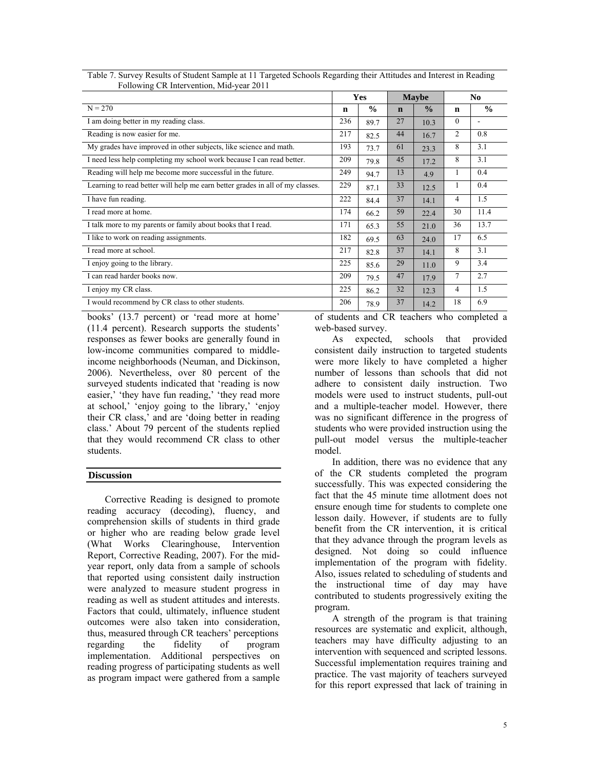|                                                                               |             | <b>Yes</b>    |             | <b>Maybe</b>  |                | N <sub>0</sub> |
|-------------------------------------------------------------------------------|-------------|---------------|-------------|---------------|----------------|----------------|
| $N = 270$                                                                     | $\mathbf n$ | $\frac{0}{0}$ | $\mathbf n$ | $\frac{0}{0}$ | $\mathbf n$    | $\frac{0}{0}$  |
| I am doing better in my reading class.                                        | 236         | 89.7          | 27          | 10.3          | $\theta$       |                |
| Reading is now easier for me.                                                 | 217         | 82.5          | 44          | 16.7          | $\overline{c}$ | 0.8            |
| My grades have improved in other subjects, like science and math.             | 193         | 73.7          | 61          | 23.3          | 8              | 3.1            |
| I need less help completing my school work because I can read better.         | 209         | 79.8          | 45          | 17.2          | 8              | 3.1            |
| Reading will help me become more successful in the future.                    | 249         | 94.7          | 13          | 4.9           |                | 0.4            |
| Learning to read better will help me earn better grades in all of my classes. | 229         | 87.1          | 33          | 12.5          |                | 0.4            |
| I have fun reading.                                                           | 222         | 84.4          | 37          | 14.1          | $\overline{4}$ | 1.5            |
| I read more at home.                                                          | 174         | 66.2          | 59          | 22.4          | 30             | 11.4           |
| I talk more to my parents or family about books that I read.                  | 171         | 65.3          | 55          | 21.0          | 36             | 13.7           |
| I like to work on reading assignments.                                        | 182         | 69.5          | 63          | 24.0          | 17             | 6.5            |
| I read more at school.                                                        | 217         | 82.8          | 37          | 14.1          | 8              | 3.1            |
| I enjoy going to the library.                                                 | 225         | 85.6          | 29          | 11.0          | 9              | 3.4            |
| I can read harder books now.                                                  | 209         | 79.5          | 47          | 17.9          | 7              | 2.7            |
| I enjoy my CR class.                                                          | 225         | 86.2          | 32          | 12.3          | 4              | 1.5            |
| I would recommend by CR class to other students.                              | 206         | 78.9          | 37          | 14.2          | 18             | 6.9            |

Table 7. Survey Results of Student Sample at 11 Targeted Schools Regarding their Attitudes and Interest in Reading Following CR Intervention, Mid-year 2011

books' (13.7 percent) or 'read more at home' (11.4 percent). Research supports the students' responses as fewer books are generally found in low-income communities compared to middleincome neighborhoods (Neuman, and Dickinson, 2006). Nevertheless, over 80 percent of the surveyed students indicated that 'reading is now easier,' 'they have fun reading,' 'they read more at school,' 'enjoy going to the library,' 'enjoy their CR class,' and are 'doing better in reading class.' About 79 percent of the students replied that they would recommend CR class to other students.

### **Discussion**

Corrective Reading is designed to promote reading accuracy (decoding), fluency, and comprehension skills of students in third grade or higher who are reading below grade level (What Works Clearinghouse, Intervention Report, Corrective Reading, 2007). For the midyear report, only data from a sample of schools that reported using consistent daily instruction were analyzed to measure student progress in reading as well as student attitudes and interests. Factors that could, ultimately, influence student outcomes were also taken into consideration, thus, measured through CR teachers' perceptions regarding the fidelity of program implementation. Additional perspectives on reading progress of participating students as well as program impact were gathered from a sample

of students and CR teachers who completed a web-based survey.

As expected, schools that provided consistent daily instruction to targeted students were more likely to have completed a higher number of lessons than schools that did not adhere to consistent daily instruction. Two models were used to instruct students, pull-out and a multiple-teacher model. However, there was no significant difference in the progress of students who were provided instruction using the pull-out model versus the multiple-teacher model.

In addition, there was no evidence that any of the CR students completed the program successfully. This was expected considering the fact that the 45 minute time allotment does not ensure enough time for students to complete one lesson daily. However, if students are to fully benefit from the CR intervention, it is critical that they advance through the program levels as designed. Not doing so could influence implementation of the program with fidelity. Also, issues related to scheduling of students and the instructional time of day may have contributed to students progressively exiting the program.

A strength of the program is that training resources are systematic and explicit, although, teachers may have difficulty adjusting to an intervention with sequenced and scripted lessons. Successful implementation requires training and practice. The vast majority of teachers surveyed for this report expressed that lack of training in